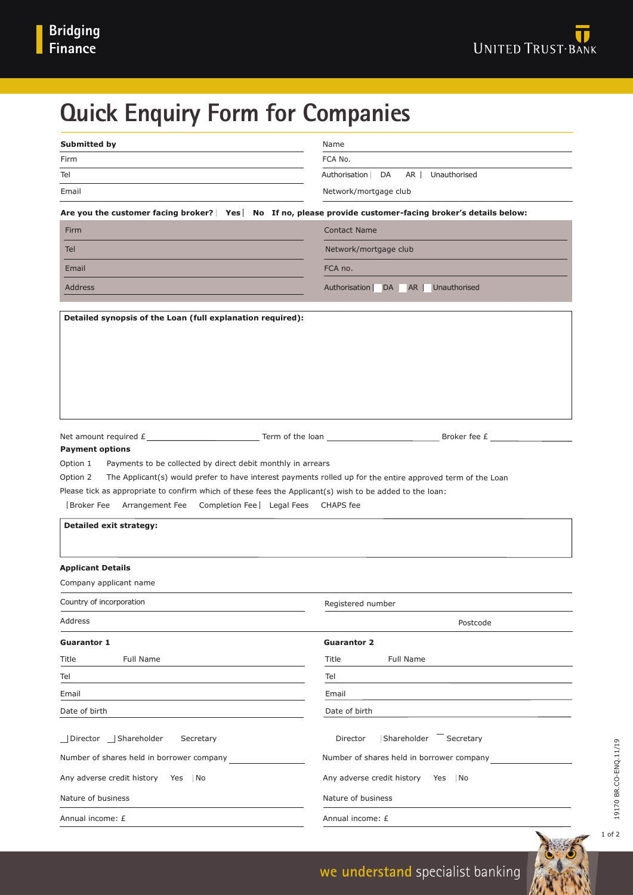# **Quick Enquiry Form for Companies**

| <b>Submitted by</b>                                                                                                                                                                                                                                                                                                                                                                         | Name                                             |
|---------------------------------------------------------------------------------------------------------------------------------------------------------------------------------------------------------------------------------------------------------------------------------------------------------------------------------------------------------------------------------------------|--------------------------------------------------|
| Firm                                                                                                                                                                                                                                                                                                                                                                                        | FCA No.                                          |
| Tel                                                                                                                                                                                                                                                                                                                                                                                         | Authorisation<br>DA<br>AR<br>Unauthorised        |
| Email                                                                                                                                                                                                                                                                                                                                                                                       | Network/mortgage club                            |
| Are you the customer facing broker? Yes   No If no, please provide customer-facing broker's details below:                                                                                                                                                                                                                                                                                  |                                                  |
| Firm                                                                                                                                                                                                                                                                                                                                                                                        | <b>Contact Name</b>                              |
| Tel                                                                                                                                                                                                                                                                                                                                                                                         | Network/mortgage club                            |
| Email                                                                                                                                                                                                                                                                                                                                                                                       | FCA no.                                          |
| <b>Address</b>                                                                                                                                                                                                                                                                                                                                                                              | Unauthorised<br>Authorisation<br>DA<br><b>AR</b> |
|                                                                                                                                                                                                                                                                                                                                                                                             |                                                  |
|                                                                                                                                                                                                                                                                                                                                                                                             |                                                  |
| <b>Payment options</b>                                                                                                                                                                                                                                                                                                                                                                      |                                                  |
| Payments to be collected by direct debit monthly in arrears<br>Option 1<br>The Applicant(s) would prefer to have interest payments rolled up for the entire approved term of the Loan<br>Option $2 \mid$<br>Please tick as appropriate to confirm which of these fees the Applicant(s) wish to be added to the loan:<br><b>Broker Fee</b><br>Arrangement Fee<br>Completion Fee   Legal Fees | CHAPS fee                                        |
| <b>Detailed exit strategy:</b>                                                                                                                                                                                                                                                                                                                                                              |                                                  |
| <b>Applicant Details</b><br>Company applicant name                                                                                                                                                                                                                                                                                                                                          |                                                  |
| Country of incorporation                                                                                                                                                                                                                                                                                                                                                                    | Registered number                                |
| Address                                                                                                                                                                                                                                                                                                                                                                                     | Postcode                                         |
| <b>Guarantor 1</b>                                                                                                                                                                                                                                                                                                                                                                          | <b>Guarantor 2</b>                               |
| Full Name<br>Title                                                                                                                                                                                                                                                                                                                                                                          | Full Name<br>Title                               |
| Tel                                                                                                                                                                                                                                                                                                                                                                                         | Tel                                              |
| Email                                                                                                                                                                                                                                                                                                                                                                                       | Email                                            |
| Date of birth                                                                                                                                                                                                                                                                                                                                                                               | Date of birth                                    |
| Director Shareholder<br>Secretary                                                                                                                                                                                                                                                                                                                                                           | Shareholder Secretary<br>Director                |
| Number of shares held in borrower company                                                                                                                                                                                                                                                                                                                                                   | Number of shares held in borrower company        |
| Any adverse credit history<br>Yes<br>No                                                                                                                                                                                                                                                                                                                                                     | Any adverse credit history<br>Yes<br>No          |
| Nature of business                                                                                                                                                                                                                                                                                                                                                                          | Nature of business                               |

1 of 2